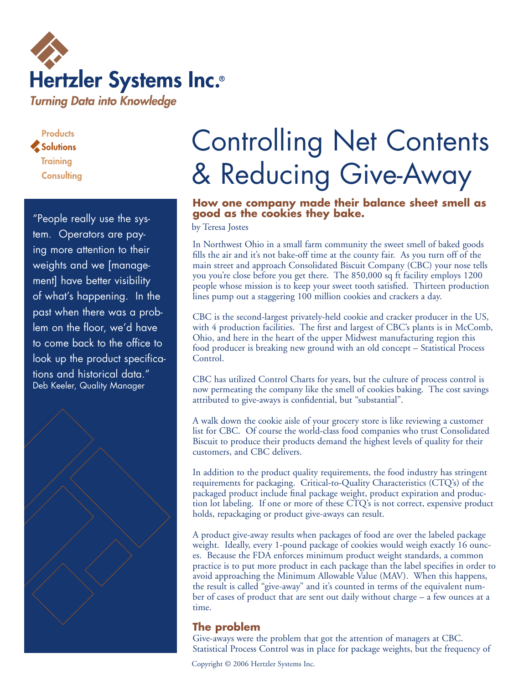

**Products** Solutions **Training Consulting** 

"People really use the system. Operators are paying more attention to their weights and we [management] have better visibility of what's happening. In the past when there was a problem on the floor, we'd have to come back to the office to look up the product specifications and historical data." Deb Keeler, Quality Manager



# Controlling Net Contents & Reducing Give-Away

## **How one company made their balance sheet smell as good as the cookies they bake.**

by Teresa Jostes

In Northwest Ohio in a small farm community the sweet smell of baked goods fills the air and it's not bake-off time at the county fair. As you turn off of the main street and approach Consolidated Biscuit Company (CBC) your nose tells you you're close before you get there. The 850,000 sq ft facility employs 1200 people whose mission is to keep your sweet tooth satisfied. Thirteen production lines pump out a staggering 100 million cookies and crackers a day.

CBC is the second-largest privately-held cookie and cracker producer in the US, with 4 production facilities. The first and largest of CBC's plants is in McComb, Ohio, and here in the heart of the upper Midwest manufacturing region this food producer is breaking new ground with an old concept – Statistical Process Control.

CBC has utilized Control Charts for years, but the culture of process control is now permeating the company like the smell of cookies baking. The cost savings attributed to give-aways is confidential, but "substantial".

A walk down the cookie aisle of your grocery store is like reviewing a customer list for CBC. Of course the world-class food companies who trust Consolidated Biscuit to produce their products demand the highest levels of quality for their customers, and CBC delivers.

In addition to the product quality requirements, the food industry has stringent requirements for packaging. Critical-to-Quality Characteristics (CTQ's) of the packaged product include final package weight, product expiration and production lot labeling. If one or more of these CTQ's is not correct, expensive product holds, repackaging or product give-aways can result.

A product give-away results when packages of food are over the labeled package weight. Ideally, every 1-pound package of cookies would weigh exactly 16 ounces. Because the FDA enforces minimum product weight standards, a common practice is to put more product in each package than the label specifies in order to avoid approaching the Minimum Allowable Value (MAV). When this happens, the result is called "give-away" and it's counted in terms of the equivalent number of cases of product that are sent out daily without charge – a few ounces at a time.

# **The problem**

Give-aways were the problem that got the attention of managers at CBC. Statistical Process Control was in place for package weights, but the frequency of

Copyright © 2006 Hertzler Systems Inc.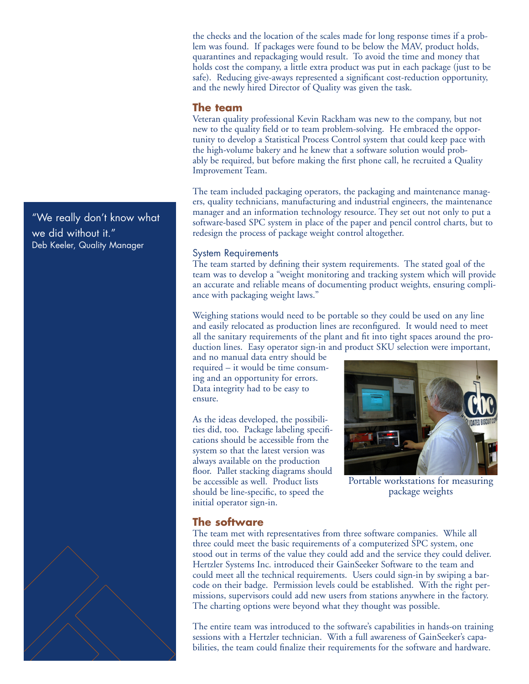the checks and the location of the scales made for long response times if a problem was found. If packages were found to be below the MAV, product holds, quarantines and repackaging would result. To avoid the time and money that holds cost the company, a little extra product was put in each package (just to be safe). Reducing give-aways represented a significant cost-reduction opportunity, and the newly hired Director of Quality was given the task.

#### **The team**

Veteran quality professional Kevin Rackham was new to the company, but not new to the quality field or to team problem-solving. He embraced the opportunity to develop a Statistical Process Control system that could keep pace with the high-volume bakery and he knew that a software solution would probably be required, but before making the first phone call, he recruited a Quality Improvement Team.

The team included packaging operators, the packaging and maintenance managers, quality technicians, manufacturing and industrial engineers, the maintenance manager and an information technology resource. They set out not only to put a software-based SPC system in place of the paper and pencil control charts, but to redesign the process of package weight control altogether.

#### System Requirements

The team started by defining their system requirements. The stated goal of the team was to develop a "weight monitoring and tracking system which will provide an accurate and reliable means of documenting product weights, ensuring compliance with packaging weight laws."

Weighing stations would need to be portable so they could be used on any line and easily relocated as production lines are reconfigured. It would need to meet all the sanitary requirements of the plant and fit into tight spaces around the production lines. Easy operator sign-in and product SKU selection were important,

and no manual data entry should be required – it would be time consuming and an opportunity for errors. Data integrity had to be easy to ensure.

As the ideas developed, the possibilities did, too. Package labeling specifications should be accessible from the system so that the latest version was always available on the production floor. Pallet stacking diagrams should be accessible as well. Product lists should be line-specific, to speed the initial operator sign-in.



Portable workstations for measuring package weights

#### **The software**

The team met with representatives from three software companies. While all three could meet the basic requirements of a computerized SPC system, one stood out in terms of the value they could add and the service they could deliver. Hertzler Systems Inc. introduced their GainSeeker Software to the team and could meet all the technical requirements. Users could sign-in by swiping a barcode on their badge. Permission levels could be established. With the right permissions, supervisors could add new users from stations anywhere in the factory. The charting options were beyond what they thought was possible.

The entire team was introduced to the software's capabilities in hands-on training sessions with a Hertzler technician. With a full awareness of GainSeeker's capabilities, the team could finalize their requirements for the software and hardware.

"We really don't know what we did without it." Deb Keeler, Quality Manager

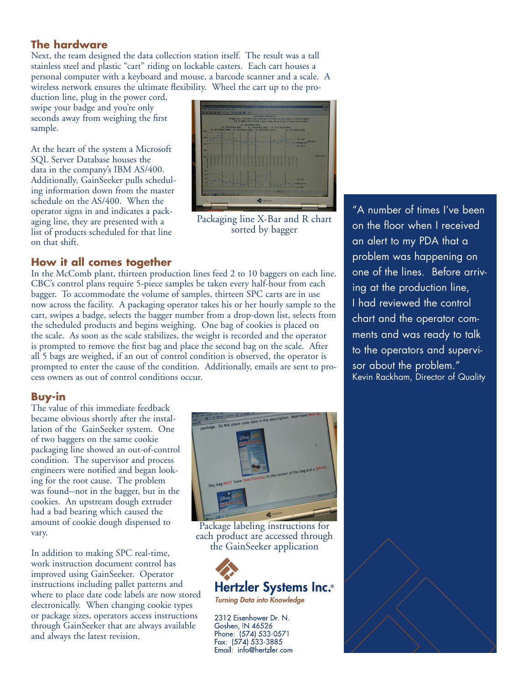## **The hardware**

Next, the team designed the data collection station itself. The result was a tall stainless steel and plastic "cart" riding on lockable casters. Each cart houses a personal computer with a keyboard and mouse, a barcode scanner and a scale. A wireless network ensures the ultimate flexibility. Wheel the cart up to the pro-

duction line, plug in the power cord, swipe your badge and you're only seconds away from weighing the first sample.

At the heart of the system a Microsoft SQL Server Database houses the data in the company's IBM AS/400. Additionally, GainSeeker pulls scheduling information down from the master schedule on the AS/400. When the operator signs in and indicates a packaging line, they are presented with a list of products scheduled for that line on that shift.



Packaging line X-Bar and R chart sorted by bagger

# **How it all comes together**

In the McComb plant, thirteen production lines feed 2 to 10 baggers on each line. CBC's control plans require 5-piece samples be taken every half-hour from each bagger. To accommodate the volume of samples, thirteen SPC carts are in use now across the facility. A packaging operator takes his or her hourly sample to the cart, swipes a badge, selects the bagger number from a drop-down list, selects from the scheduled products and begins weighing. One bag of cookies is placed on the scale. As soon as the scale stabilizes, the weight is recorded and the operator is prompted to remove the first bag and place the second bag on the scale. After all 5 bags are weighed, if an out of control condition is observed, the operator is prompted to enter the cause of the condition. Additionally, emails are sent to process owners as out of control conditions occur.

# **Buy-in**

The value of this immediate feedback became obvious shortly after the installation of the GainSeeker system. One of two baggers on the same cookie packaging line showed an out-of-control condition. The supervisor and process engineers were notified and began looking for the root cause. The problem was found--not in the bagger, but in the cookies. An upstream dough extruder had a bad bearing which caused the amount of cookie dough dispensed to vary.

In addition to making SPC real-time, work instruction document control has improved using GainSeeker. Operator instructions including pallet patterns and where to place date code labels are now stored electronically. When changing cookie types or package sizes, operators access instructions through GainSeeker that are always available and always the latest revision.



Package labeling instructions for each product are accessed through the GainSeeker application



**Turning Data into Knowledge** 

2312 Eisenhower Dr. N. Goshen, IN 46526 Phone: (574) 533-0571<br>Fax: (574) 533-3885 Email: info@hertzler.com

"A number of times I've been on the floor when I received an alert to my PDA that a problem was happening on one of the lines. Before arriving at the production line, I had reviewed the control chart and the operator comments and was ready to talk to the operators and supervisor about the problem." Kevin Rackham, Director of Quality